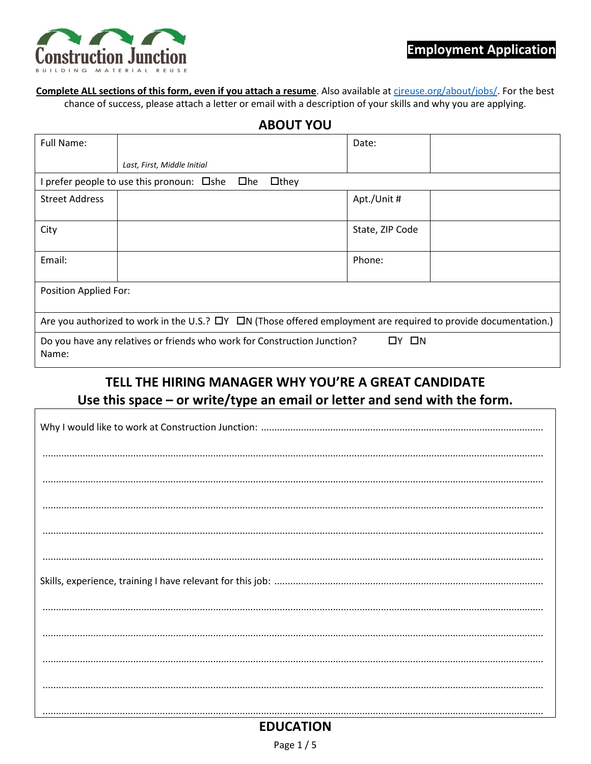

Complete ALL sections of this form, even if you attach a resume. Also available at cireuse.org/about/jobs/. For the best chance of success, please attach a letter or email with a description of your skills and why you are applying.

|                       | <b>ABOUT YOU</b>                                                                                                            |                   |  |
|-----------------------|-----------------------------------------------------------------------------------------------------------------------------|-------------------|--|
| Full Name:            |                                                                                                                             | Date:             |  |
|                       | Last, First, Middle Initial                                                                                                 |                   |  |
|                       | I prefer people to use this pronoun: Oshe Ohe<br>$\Box$ they                                                                |                   |  |
| <b>Street Address</b> |                                                                                                                             | Apt./Unit #       |  |
| City                  |                                                                                                                             | State, ZIP Code   |  |
| Email:                |                                                                                                                             | Phone:            |  |
| Position Applied For: |                                                                                                                             |                   |  |
|                       | Are you authorized to work in the U.S.? $\Box Y$ $\Box N$ (Those offered employment are required to provide documentation.) |                   |  |
| Name:                 | Do you have any relatives or friends who work for Construction Junction?                                                    | $\Box Y$ $\Box N$ |  |
|                       | Use this space - or write/type an email or letter and send with the form.                                                   |                   |  |
|                       |                                                                                                                             |                   |  |
|                       |                                                                                                                             |                   |  |
|                       |                                                                                                                             |                   |  |

# 

Page 1 / 5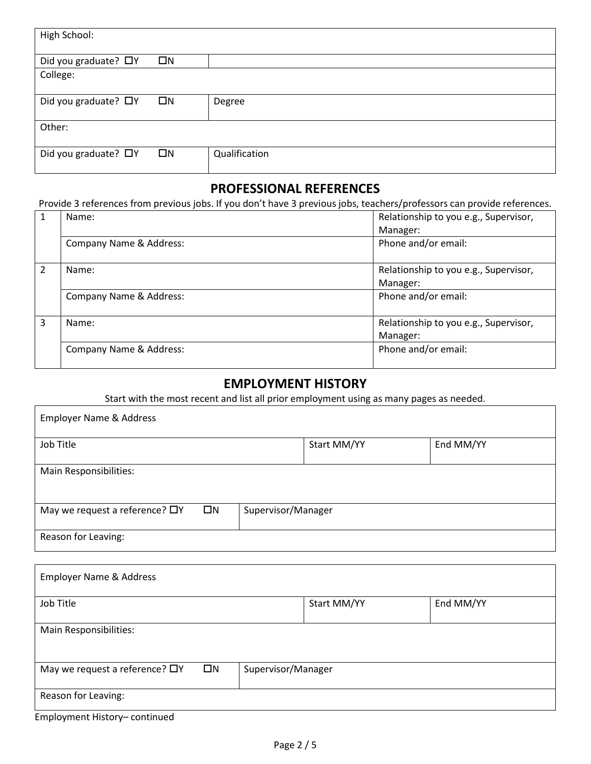| High School:               |             |               |
|----------------------------|-------------|---------------|
| Did you graduate? □Y       | $\square$ N |               |
| College:                   |             |               |
| Did you graduate? $\Box Y$ | $\square$ N | Degree        |
| Other:                     |             |               |
| Did you graduate? $\Box Y$ | $\Box N$    | Qualification |

#### **PROFESSIONAL REFERENCES**

Provide 3 references from previous jobs. If you don't have 3 previous jobs, teachers/professors can provide references.

|               | Name:                   | Relationship to you e.g., Supervisor,<br>Manager: |
|---------------|-------------------------|---------------------------------------------------|
|               | Company Name & Address: | Phone and/or email:                               |
| $\mathcal{P}$ | Name:                   | Relationship to you e.g., Supervisor,<br>Manager: |
|               | Company Name & Address: | Phone and/or email:                               |
| 3             | Name:                   | Relationship to you e.g., Supervisor,<br>Manager: |
|               | Company Name & Address: | Phone and/or email:                               |

#### **EMPLOYMENT HISTORY**

Start with the most recent and list all prior employment using as many pages as needed.

| <b>Employer Name &amp; Address</b>                  |                    |             |           |
|-----------------------------------------------------|--------------------|-------------|-----------|
| Job Title                                           |                    | Start MM/YY | End MM/YY |
| Main Responsibilities:                              |                    |             |           |
| $\square$ N<br>May we request a reference? $\Box Y$ | Supervisor/Manager |             |           |
| Reason for Leaving:                                 |                    |             |           |

| <b>Employer Name &amp; Address</b>                  |                    |             |           |
|-----------------------------------------------------|--------------------|-------------|-----------|
| Job Title                                           |                    | Start MM/YY | End MM/YY |
| Main Responsibilities:                              |                    |             |           |
| $\square$ N<br>May we request a reference? $\Box Y$ | Supervisor/Manager |             |           |
| Reason for Leaving:                                 |                    |             |           |

Employment History– continued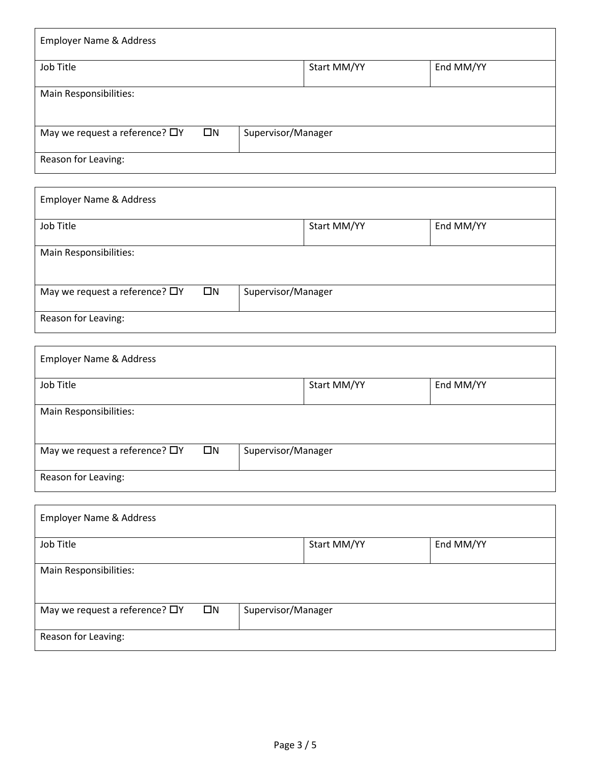| <b>Employer Name &amp; Address</b>            |                    |             |           |
|-----------------------------------------------|--------------------|-------------|-----------|
| Job Title                                     |                    | Start MM/YY | End MM/YY |
| Main Responsibilities:                        |                    |             |           |
| May we request a reference? □Y<br>$\square$ N | Supervisor/Manager |             |           |
| Reason for Leaving:                           |                    |             |           |

| <b>Employer Name &amp; Address</b>               |                    |             |           |
|--------------------------------------------------|--------------------|-------------|-----------|
| Job Title                                        |                    | Start MM/YY | End MM/YY |
| Main Responsibilities:                           |                    |             |           |
| $\Box N$<br>May we request a reference? $\Box Y$ | Supervisor/Manager |             |           |
| Reason for Leaving:                              |                    |             |           |

| <b>Employer Name &amp; Address</b>                  |                    |             |           |
|-----------------------------------------------------|--------------------|-------------|-----------|
| Job Title                                           |                    | Start MM/YY | End MM/YY |
| Main Responsibilities:                              |                    |             |           |
| $\square$ N<br>May we request a reference? $\Box Y$ | Supervisor/Manager |             |           |
| Reason for Leaving:                                 |                    |             |           |

| <b>Employer Name &amp; Address</b>                  |                    |             |           |  |  |
|-----------------------------------------------------|--------------------|-------------|-----------|--|--|
| Job Title                                           |                    | Start MM/YY | End MM/YY |  |  |
| Main Responsibilities:                              |                    |             |           |  |  |
| $\square$ N<br>May we request a reference? $\Box Y$ | Supervisor/Manager |             |           |  |  |
| Reason for Leaving:                                 |                    |             |           |  |  |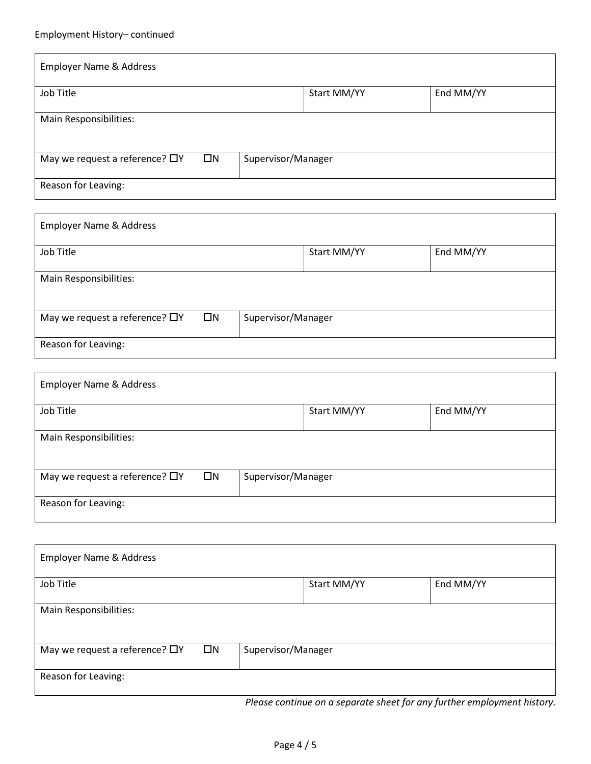| <b>Employer Name &amp; Address</b>               |                    |             |           |  |  |
|--------------------------------------------------|--------------------|-------------|-----------|--|--|
| Job Title                                        |                    | Start MM/YY | End MM/YY |  |  |
| Main Responsibilities:                           |                    |             |           |  |  |
| $\Box N$<br>May we request a reference? $\Box Y$ | Supervisor/Manager |             |           |  |  |
| Reason for Leaving:                              |                    |             |           |  |  |

| <b>Employer Name &amp; Address</b>                  |                    |             |           |
|-----------------------------------------------------|--------------------|-------------|-----------|
| Job Title                                           |                    | Start MM/YY | End MM/YY |
| Main Responsibilities:                              |                    |             |           |
| $\square$ N<br>May we request a reference? $\Box Y$ | Supervisor/Manager |             |           |
| Reason for Leaving:                                 |                    |             |           |

and the control of the control of the control of the control of the control of the control of the control of the

 $\overline{\mathbf{1}}$ 

| <b>Employer Name &amp; Address</b>   |             |                    |             |           |
|--------------------------------------|-------------|--------------------|-------------|-----------|
| Job Title                            |             |                    | Start MM/YY | End MM/YY |
| Main Responsibilities:               |             |                    |             |           |
| May we request a reference? $\Box Y$ | $\square$ N | Supervisor/Manager |             |           |
| Reason for Leaving:                  |             |                    |             |           |

the control of the control of the control of the control of the control of the control of the control of the control of the control of the control of the control of the control of the control of the control of the control

| <b>Employer Name &amp; Address</b>                  |                    |             |           |  |
|-----------------------------------------------------|--------------------|-------------|-----------|--|
| Job Title                                           |                    | Start MM/YY | End MM/YY |  |
| Main Responsibilities:                              |                    |             |           |  |
| $\square$ N<br>May we request a reference? $\Box Y$ | Supervisor/Manager |             |           |  |
| Reason for Leaving:                                 |                    |             |           |  |

*Please continue on a separate sheet for any further employment history.*